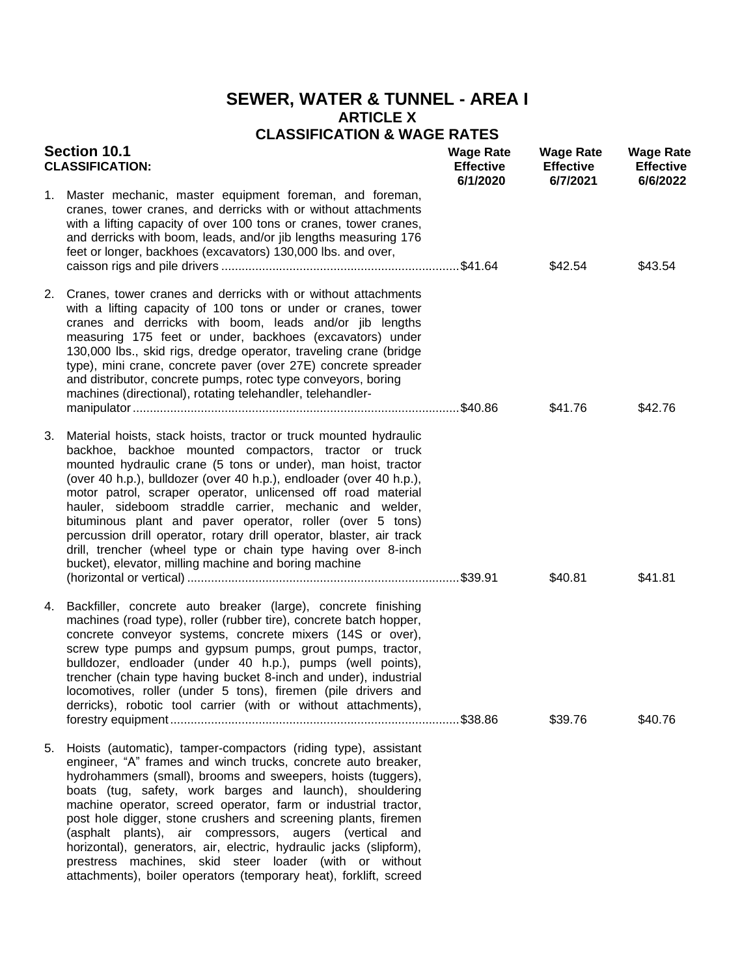## **SEWER, WATER & TUNNEL - AREA I ARTICLE X CLASSIFICATION & WAGE RATES**

| <b>Section 10.1</b><br><b>CLASSIFICATION:</b> |                                                                                                                                                                                                                                                                                                                                                                                                                                                                                                                                                                                                                                                                  | <b>Wage Rate</b><br><b>Effective</b><br>6/1/2020 | <b>Wage Rate</b><br><b>Effective</b><br>6/7/2021 | <b>Wage Rate</b><br><b>Effective</b><br>6/6/2022 |
|-----------------------------------------------|------------------------------------------------------------------------------------------------------------------------------------------------------------------------------------------------------------------------------------------------------------------------------------------------------------------------------------------------------------------------------------------------------------------------------------------------------------------------------------------------------------------------------------------------------------------------------------------------------------------------------------------------------------------|--------------------------------------------------|--------------------------------------------------|--------------------------------------------------|
| 1.                                            | Master mechanic, master equipment foreman, and foreman,<br>cranes, tower cranes, and derricks with or without attachments<br>with a lifting capacity of over 100 tons or cranes, tower cranes,<br>and derricks with boom, leads, and/or jib lengths measuring 176<br>feet or longer, backhoes (excavators) 130,000 lbs. and over,                                                                                                                                                                                                                                                                                                                                |                                                  | \$42.54                                          | \$43.54                                          |
|                                               | 2. Cranes, tower cranes and derricks with or without attachments<br>with a lifting capacity of 100 tons or under or cranes, tower<br>cranes and derricks with boom, leads and/or jib lengths<br>measuring 175 feet or under, backhoes (excavators) under<br>130,000 lbs., skid rigs, dredge operator, traveling crane (bridge<br>type), mini crane, concrete paver (over 27E) concrete spreader<br>and distributor, concrete pumps, rotec type conveyors, boring<br>machines (directional), rotating telehandler, telehandler-                                                                                                                                   |                                                  | \$41.76                                          | \$42.76                                          |
| 3.                                            | Material hoists, stack hoists, tractor or truck mounted hydraulic<br>backhoe, backhoe mounted compactors, tractor or truck<br>mounted hydraulic crane (5 tons or under), man hoist, tractor<br>(over 40 h.p.), bulldozer (over 40 h.p.), endloader (over 40 h.p.),<br>motor patrol, scraper operator, unlicensed off road material<br>hauler, sideboom straddle carrier, mechanic and welder,<br>bituminous plant and paver operator, roller (over 5 tons)<br>percussion drill operator, rotary drill operator, blaster, air track<br>drill, trencher (wheel type or chain type having over 8-inch<br>bucket), elevator, milling machine and boring machine      |                                                  | \$40.81                                          | \$41.81                                          |
| 4.                                            | Backfiller, concrete auto breaker (large), concrete finishing<br>machines (road type), roller (rubber tire), concrete batch hopper,<br>concrete conveyor systems, concrete mixers (14S or over),<br>screw type pumps and gypsum pumps, grout pumps, tractor,<br>bulldozer, endloader (under 40 h.p.), pumps (well points),<br>trencher (chain type having bucket 8-inch and under), industrial<br>locomotives, roller (under 5 tons), firemen (pile drivers and<br>derricks), robotic tool carrier (with or without attachments),                                                                                                                                |                                                  | \$39.76                                          | \$40.76                                          |
| 5.                                            | Hoists (automatic), tamper-compactors (riding type), assistant<br>engineer, "A" frames and winch trucks, concrete auto breaker,<br>hydrohammers (small), brooms and sweepers, hoists (tuggers),<br>boats (tug, safety, work barges and launch), shouldering<br>machine operator, screed operator, farm or industrial tractor,<br>post hole digger, stone crushers and screening plants, firemen<br>(asphalt plants), air compressors, augers (vertical and<br>horizontal), generators, air, electric, hydraulic jacks (slipform),<br>prestress machines, skid steer loader (with or without<br>attachments), boiler operators (temporary heat), forklift, screed |                                                  |                                                  |                                                  |